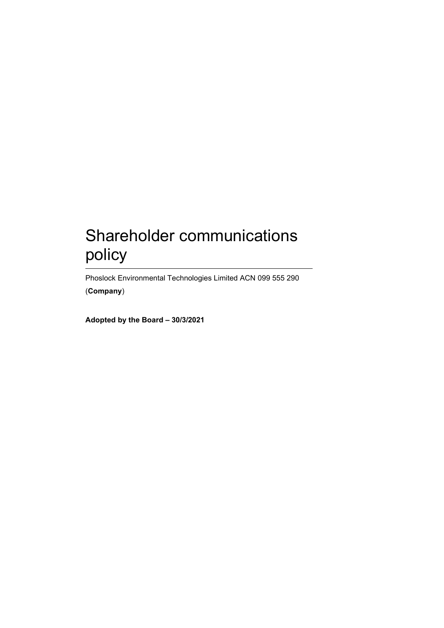# Shareholder communications policy

Phoslock Environmental Technologies Limited ACN 099 555 290 (**Company**)

**Adopted by the Board – 30/3/2021**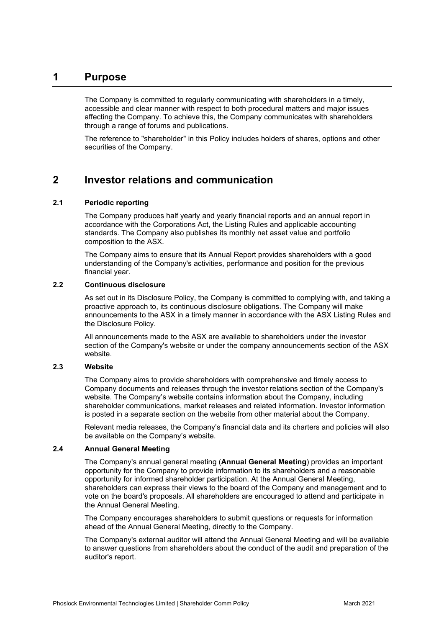## **1 Purpose**

The Company is committed to regularly communicating with shareholders in a timely, accessible and clear manner with respect to both procedural matters and major issues affecting the Company. To achieve this, the Company communicates with shareholders through a range of forums and publications.

The reference to "shareholder" in this Policy includes holders of shares, options and other securities of the Company.

## **2 Investor relations and communication**

#### **2.1 Periodic reporting**

The Company produces half yearly and yearly financial reports and an annual report in accordance with the Corporations Act, the Listing Rules and applicable accounting standards. The Company also publishes its monthly net asset value and portfolio composition to the ASX.

The Company aims to ensure that its Annual Report provides shareholders with a good understanding of the Company's activities, performance and position for the previous financial year.

#### **2.2 Continuous disclosure**

As set out in its Disclosure Policy, the Company is committed to complying with, and taking a proactive approach to, its continuous disclosure obligations. The Company will make announcements to the ASX in a timely manner in accordance with the ASX Listing Rules and the Disclosure Policy.

All announcements made to the ASX are available to shareholders under the investor section of the Company's website or under the company announcements section of the ASX website.

#### **2.3 Website**

The Company aims to provide shareholders with comprehensive and timely access to Company documents and releases through the investor relations section of the Company's website. The Company's website contains information about the Company, including shareholder communications, market releases and related information. Investor information is posted in a separate section on the website from other material about the Company.

Relevant media releases, the Company's financial data and its charters and policies will also be available on the Company's website.

#### **2.4 Annual General Meeting**

The Company's annual general meeting (**Annual General Meeting**) provides an important opportunity for the Company to provide information to its shareholders and a reasonable opportunity for informed shareholder participation. At the Annual General Meeting, shareholders can express their views to the board of the Company and management and to vote on the board's proposals. All shareholders are encouraged to attend and participate in the Annual General Meeting.

The Company encourages shareholders to submit questions or requests for information ahead of the Annual General Meeting, directly to the Company.

The Company's external auditor will attend the Annual General Meeting and will be available to answer questions from shareholders about the conduct of the audit and preparation of the auditor's report.